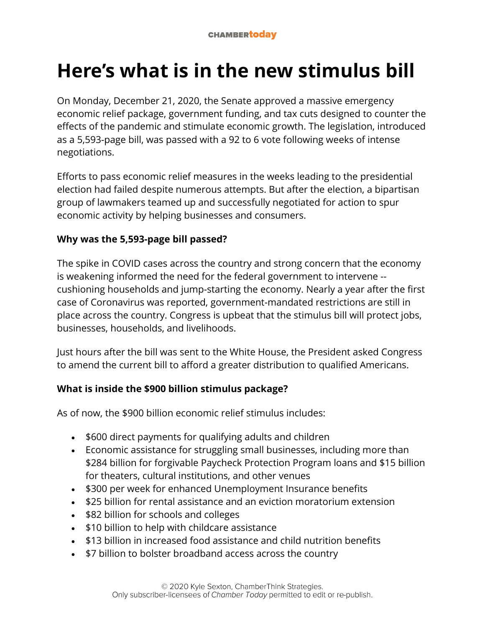# **Here's what is in the new stimulus bill**

On Monday, December 21, 2020, the Senate approved a massive emergency economic relief package, government funding, and tax cuts designed to counter the effects of the pandemic and stimulate economic growth. The legislation, introduced as a 5,593-page bill, was passed with a 92 to 6 vote following weeks of intense negotiations.

Efforts to pass economic relief measures in the weeks leading to the presidential election had failed despite numerous attempts. But after the election, a bipartisan group of lawmakers teamed up and successfully negotiated for action to spur economic activity by helping businesses and consumers.

# **Why was the 5,593-page bill passed?**

The spike in COVID cases across the country and strong concern that the economy is weakening informed the need for the federal government to intervene - cushioning households and jump-starting the economy. Nearly a year after the first case of Coronavirus was reported, government-mandated restrictions are still in place across the country. Congress is upbeat that the stimulus bill will protect jobs, businesses, households, and livelihoods.

Just hours after the bill was sent to the White House, the President asked Congress to amend the current bill to afford a greater distribution to qualified Americans.

# **What is inside the \$900 billion stimulus package?**

As of now, the \$900 billion economic relief stimulus includes:

- \$600 direct payments for qualifying adults and children
- Economic assistance for struggling small businesses, including more than \$284 billion for forgivable Paycheck Protection Program loans and \$15 billion for theaters, cultural institutions, and other venues
- \$300 per week for enhanced Unemployment Insurance benefits
- \$25 billion for rental assistance and an eviction moratorium extension
- \$82 billion for schools and colleges
- \$10 billion to help with childcare assistance
- \$13 billion in increased food assistance and child nutrition benefits
- \$7 billion to bolster broadband access across the country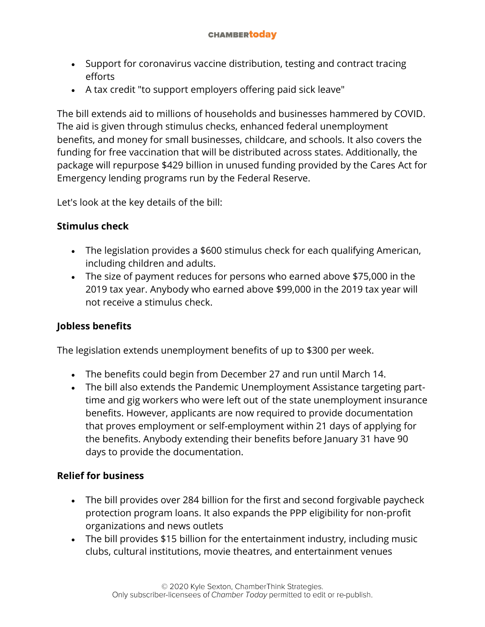- Support for coronavirus vaccine distribution, testing and contract tracing efforts
- A tax credit "to support employers offering paid sick leave"

The bill extends aid to millions of households and businesses hammered by COVID. The aid is given through stimulus checks, enhanced federal unemployment benefits, and money for small businesses, childcare, and schools. It also covers the funding for free vaccination that will be distributed across states. Additionally, the package will repurpose \$429 billion in unused funding provided by the Cares Act for Emergency lending programs run by the Federal Reserve.

Let's look at the key details of the bill:

#### **Stimulus check**

- The legislation provides a \$600 stimulus check for each qualifying American, including children and adults.
- The size of payment reduces for persons who earned above \$75,000 in the 2019 tax year. Anybody who earned above \$99,000 in the 2019 tax year will not receive a stimulus check.

## **Jobless benefits**

The legislation extends unemployment benefits of up to \$300 per week.

- The benefits could begin from December 27 and run until March 14.
- The bill also extends the Pandemic Unemployment Assistance targeting parttime and gig workers who were left out of the state unemployment insurance benefits. However, applicants are now required to provide documentation that proves employment or self-employment within 21 days of applying for the benefits. Anybody extending their benefits before January 31 have 90 days to provide the documentation.

## **Relief for business**

- The bill provides over 284 billion for the first and second forgivable paycheck protection program loans. It also expands the PPP eligibility for non-profit organizations and news outlets
- The bill provides \$15 billion for the entertainment industry, including music clubs, cultural institutions, movie theatres, and entertainment venues